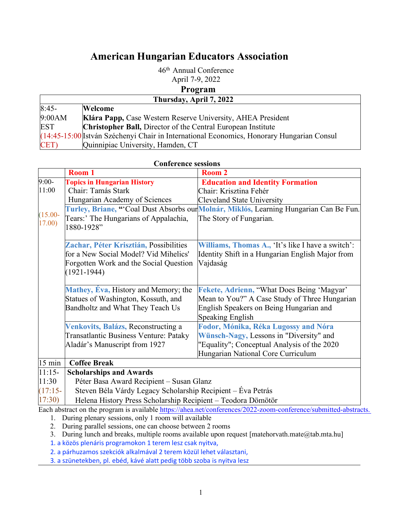## **American Hungarian Educators Association**

46th Annual Conference April 7-9, 2022 **Program** 

| 1 I VEI AMI                                                                                  |  |  |
|----------------------------------------------------------------------------------------------|--|--|
| Thursday, April 7, 2022                                                                      |  |  |
| $8:45-$<br><b>Welcome</b>                                                                    |  |  |
| 9:00AM<br>Klára Papp, Case Western Reserve University, AHEA President                        |  |  |
| <b>Christopher Ball, Director of the Central European Institute</b><br>EST                   |  |  |
| $(14:45-15:00)$ István Széchenyi Chair in International Economics, Honorary Hungarian Consul |  |  |
| Quinnipiac University, Hamden, CT<br>CET)                                                    |  |  |

| <b>Conference sessions</b>                                                                                                                         |                                                     |                                                                                       |
|----------------------------------------------------------------------------------------------------------------------------------------------------|-----------------------------------------------------|---------------------------------------------------------------------------------------|
|                                                                                                                                                    | Room 1                                              | Room 2                                                                                |
| $9:00-$                                                                                                                                            | <b>Topics in Hungarian History</b>                  | <b>Education and Identity Formation</b>                                               |
| 11:00                                                                                                                                              | Chair: Tamás Stark                                  | Chair: Krisztina Fehér                                                                |
|                                                                                                                                                    | Hungarian Academy of Sciences                       | <b>Cleveland State University</b>                                                     |
|                                                                                                                                                    |                                                     | Turley, Briane, "Coal Dust Absorbs our Molnár, Miklós, Learning Hungarian Can Be Fun. |
| $(15.00 -$<br>17.00)                                                                                                                               | Tears:' The Hungarians of Appalachia,<br>1880-1928" | The Story of Fungarian.                                                               |
|                                                                                                                                                    | Zachar, Péter Krisztián, Possibilities              | Williams, Thomas A., 'It's like I have a switch':                                     |
|                                                                                                                                                    | for a New Social Model? Vid Mihelics'               | Identity Shift in a Hungarian English Major from                                      |
|                                                                                                                                                    | Forgotten Work and the Social Question              | Vajdaság                                                                              |
|                                                                                                                                                    | $(1921 - 1944)$                                     |                                                                                       |
|                                                                                                                                                    | Mathey, Eva, History and Memory; the                | Fekete, Adrienn, "What Does Being 'Magyar'                                            |
|                                                                                                                                                    | Statues of Washington, Kossuth, and                 | Mean to You?" A Case Study of Three Hungarian                                         |
|                                                                                                                                                    | Bandholtz and What They Teach Us                    | English Speakers on Being Hungarian and                                               |
|                                                                                                                                                    |                                                     | <b>Speaking English</b>                                                               |
|                                                                                                                                                    | Venkovits, Balázs, Reconstructing a                 | Fodor, Mónika, Réka Lugossy and Nóra                                                  |
|                                                                                                                                                    | <b>Transatlantic Business Venture: Pataky</b>       | Wünsch-Nagy, Lessons in "Diversity" and                                               |
|                                                                                                                                                    | Aladár's Manuscript from 1927                       | "Equality"; Conceptual Analysis of the 2020                                           |
|                                                                                                                                                    |                                                     | Hungarian National Core Curriculum                                                    |
| $15 \text{ min}$<br><b>Coffee Break</b>                                                                                                            |                                                     |                                                                                       |
| $11:15-$                                                                                                                                           | <b>Scholarships and Awards</b>                      |                                                                                       |
| 11:30                                                                                                                                              | Péter Basa Award Recipient – Susan Glanz            |                                                                                       |
| Steven Béla Várdy Legacy Scholarship Recipient – Éva Petrás<br>$(17:15-$<br>17:30)<br>Helena History Press Scholarship Recipient - Teodora Dömötör |                                                     |                                                                                       |
|                                                                                                                                                    |                                                     |                                                                                       |
| Each abstract on the program is available https://ahea.net/conferences/2022-zoom-conference/submitted-abstracts.                                   |                                                     |                                                                                       |
| 1. During plenary sessions, only 1 room will available                                                                                             |                                                     |                                                                                       |

2. During parallel sessions, one can choose between 2 rooms

3. During lunch and breaks, multiple rooms available upon request [matehorvath.mate@tab.mta.hu]

1. a közös plenáris programokon 1 terem lesz csak nyitva,

2. a párhuzamos szekciók alkalmával 2 terem közül lehet választani,

3. a szünetekben, pl. ebéd, kávé alatt pedig több szoba is nyitva lesz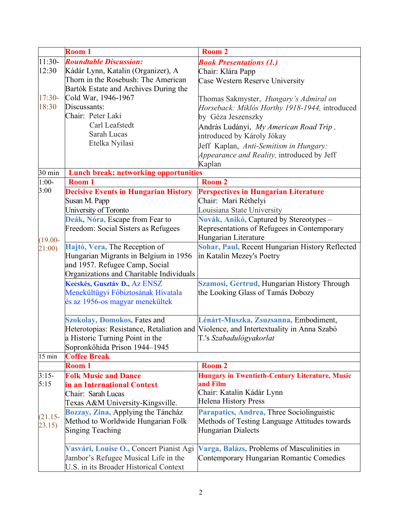|            | Room 1                                                                | <b>Room 2</b>                                                                         |
|------------|-----------------------------------------------------------------------|---------------------------------------------------------------------------------------|
| $11:30-$   | <b>Roundtable Discussion:</b>                                         | <b>Book Presentations (1.)</b>                                                        |
| 12:30      | Kádár Lynn, Katalin (Organizer), A                                    | Chair: Klára Papp                                                                     |
|            | Thorn in the Rosebush: The American                                   | Case Western Reserve University                                                       |
|            | Bartók Estate and Archives During the                                 |                                                                                       |
| $17:30-$   | Cold War, 1946-1967                                                   | Thomas Sakmyster, Hungary's Admiral on                                                |
| 18:30      | Discussants:                                                          | Horseback: Miklós Horthy 1918-1944, introduced                                        |
|            | Chair: Peter Laki                                                     | by Géza Jeszenszky                                                                    |
|            | Carl Leafstedt                                                        | András Ludányi, My American Road Trip,                                                |
|            | Sarah Lucas                                                           | introduced by Károly Jókay                                                            |
|            | Etelka Nyilasi                                                        | Jeff Kaplan, Anti-Semitism in Hungary:                                                |
|            |                                                                       | Appearance and Reality, introduced by Jeff                                            |
|            |                                                                       | Kaplan                                                                                |
| 30 min     | <b>Lunch break; networking opportunities</b>                          |                                                                                       |
| $1:00-$    | Room 1                                                                | Room 2                                                                                |
| 3:00       | <b>Decisive Events in Hungarian History</b>                           | <b>Perspectives in Hungarian Literature</b>                                           |
|            | Susan M. Papp                                                         | Chair: Mari Réthelyi                                                                  |
|            | University of Toronto                                                 | Louisiana State University                                                            |
|            | Deák, Nóra, Escape from Fear to                                       | Novák, Anikó, Captured by Stereotypes -                                               |
|            | Freedom: Social Sisters as Refugees                                   | Representations of Refugees in Contemporary                                           |
|            |                                                                       | Hungarian Literature                                                                  |
| $(19.00 -$ |                                                                       | Sohar, Paul, Recent Hungarian History Reflected                                       |
| 21:00)     | Hajtó, Vera, The Reception of                                         |                                                                                       |
|            | Hungarian Migrants in Belgium in 1956                                 | in Katalin Mezey's Poetry                                                             |
|            | and 1957. Refugee Camp, Social                                        |                                                                                       |
|            | Organizations and Charitable Individuals                              |                                                                                       |
|            | Kecskés, Gusztáv D., Az ENSZ                                          | Szamosi, Gertrud, Hungarian History Through                                           |
|            | Menekültügyi Főbiztosának Hivatala<br>és az 1956-os magyar menekültek | the Looking Glass of Tamás Dobozy                                                     |
|            |                                                                       |                                                                                       |
|            | <b>Szokolay, Domokos, Fates and</b>                                   | Lénárt-Muszka, Zsuzsanna, Embodiment,                                                 |
|            |                                                                       | Heterotopias: Resistance, Retaliation and Violence, and Intertextuality in Anna Szabó |
|            | a Historic Turning Point in the                                       | T.'s Szabadulógyakorlat                                                               |
|            | Sopronkőhida Prison 1944-1945                                         |                                                                                       |
| 15 min     | <b>Coffee Break</b>                                                   |                                                                                       |
|            | Room 1                                                                | Room <sub>2</sub>                                                                     |
| $3:15-$    | <b>Folk Music and Dance</b>                                           | <b>Hungary in Twentieth-Century Literature, Music</b>                                 |
| 5:15       | in an International Context                                           | and Film                                                                              |
|            | Chair: Sarah Lucas                                                    | Chair: Katalin Kádár Lynn                                                             |
|            | Texas A&M University-Kingsville.                                      | <b>Helena History Press</b>                                                           |
|            | Bozzay, Zina, Applying the Táncház                                    | Parapatics, Andrea, Three Sociolinguistic                                             |
| $(21.15 -$ | Method to Worldwide Hungarian Folk                                    | Methods of Testing Language Attitudes towards                                         |
| 23.15)     | <b>Singing Teaching</b>                                               | <b>Hungarian Dialects</b>                                                             |
|            |                                                                       |                                                                                       |
|            | Vasvári, Louise O., Concert Pianist Agi                               | Varga, Balázs, Problems of Masculinities in                                           |
|            |                                                                       |                                                                                       |
|            | U.S. in its Broader Historical Context                                |                                                                                       |
|            | Jambor's Refugee Musical Life in the                                  | Contemporary Hungarian Romantic Comedies                                              |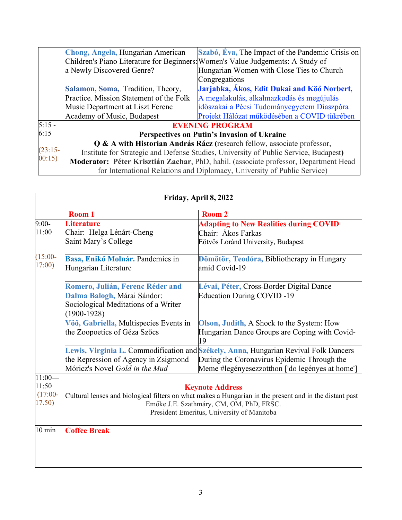|           | Chong, Angela, Hungarian American                                               | Szabó, Éva, The Impact of the Pandemic Crisis on                                     |
|-----------|---------------------------------------------------------------------------------|--------------------------------------------------------------------------------------|
|           | Children's Piano Literature for Beginners: Women's Value Judgements: A Study of |                                                                                      |
|           | a Newly Discovered Genre?                                                       | Hungarian Women with Close Ties to Church                                            |
|           |                                                                                 | Congregations                                                                        |
|           | Salamon, Soma, Tradition, Theory,                                               | Jarjabka, Ákos, Edit Dukai and Köő Norbert,                                          |
|           | Practice. Mission Statement of the Folk                                         | A megalakulás, alkalmazkodás és megújulás                                            |
|           | Music Department at Liszt Ferenc                                                | időszakai a Pécsi Tudományegyetem Diaszpóra                                          |
|           | Academy of Music, Budapest                                                      | Projekt Hálózat működésében a COVID tükrében                                         |
| $5:15 -$  |                                                                                 | <b>EVENING PROGRAM</b>                                                               |
| 6:15      |                                                                                 | Perspectives on Putin's Invasion of Ukraine                                          |
|           |                                                                                 | Q & A with Historian András Rácz (research fellow, associate professor,              |
| $(23:15-$ |                                                                                 | Institute for Strategic and Defense Studies, University of Public Service, Budapest) |
| 00:15     |                                                                                 | Moderator: Péter Krisztián Zachar, PhD, habil. (associate professor, Department Head |
|           |                                                                                 | for International Relations and Diplomacy, University of Public Service)             |

| Friday, April 8, 2022                      |                                                                                                         |                                                                                      |
|--------------------------------------------|---------------------------------------------------------------------------------------------------------|--------------------------------------------------------------------------------------|
|                                            | Room 1                                                                                                  | Room <sub>2</sub>                                                                    |
| $9:00-$                                    | <b>Literature</b>                                                                                       | <b>Adapting to New Realities during COVID</b>                                        |
| 11:00                                      | Chair: Helga Lénárt-Cheng                                                                               | Chair: Ákos Farkas                                                                   |
|                                            | Saint Mary's College                                                                                    | Eötvös Loránd University, Budapest                                                   |
| $(15:00 -$                                 | Basa, Enikő Molnár. Pandemics in                                                                        | Dömötör, Teodóra, Bibliotherapy in Hungary                                           |
| 17:00)                                     | Hungarian Literature                                                                                    | amid Covid-19                                                                        |
|                                            | Romero, Julián, Ferenc Réder and                                                                        | Lévai, Péter, Cross-Border Digital Dance                                             |
|                                            | Dalma Balogh, Márai Sándor:                                                                             | <b>Education During COVID-19</b>                                                     |
|                                            | Sociological Meditations of a Writer<br>$(1900-1928)$                                                   |                                                                                      |
|                                            | Vöő, Gabriella, Multispecies Events in                                                                  | Olson, Judith, A Shock to the System: How                                            |
|                                            | the Zoopoetics of Géza Szőcs                                                                            | Hungarian Dance Groups are Coping with Covid-<br>19                                  |
|                                            |                                                                                                         | Lewis, Virginia L. Commodification and Székely, Anna, Hungarian Revival Folk Dancers |
|                                            | the Repression of Agency in Zsigmond                                                                    | During the Coronavirus Epidemic Through the                                          |
|                                            | Móricz's Novel Gold in the Mud                                                                          | Meme #legényesezzotthon ['do legényes at home']                                      |
| $11:00-$                                   |                                                                                                         |                                                                                      |
| 11:50                                      |                                                                                                         | <b>Keynote Address</b>                                                               |
| $(17:00 -$                                 | Cultural lenses and biological filters on what makes a Hungarian in the present and in the distant past |                                                                                      |
| 17.50)                                     | Emőke J.E. Szathmáry, CM, OM, PhD, FRSC.                                                                |                                                                                      |
| President Emeritus, University of Manitoba |                                                                                                         |                                                                                      |
| $10 \text{ min}$                           | <b>Coffee Break</b>                                                                                     |                                                                                      |
|                                            |                                                                                                         |                                                                                      |
|                                            |                                                                                                         |                                                                                      |
|                                            |                                                                                                         |                                                                                      |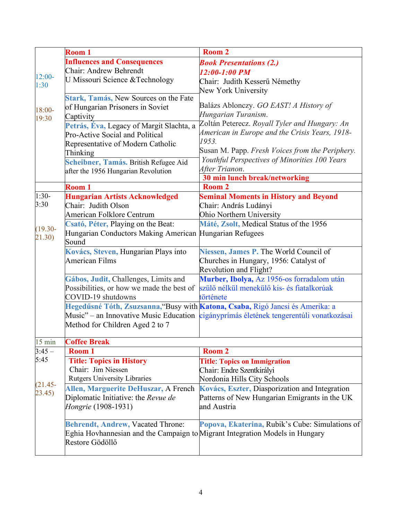|                      | <b>Room 1</b>                                                                                                                                                                                                | Room 2                                                                                                                                                                                                         |
|----------------------|--------------------------------------------------------------------------------------------------------------------------------------------------------------------------------------------------------------|----------------------------------------------------------------------------------------------------------------------------------------------------------------------------------------------------------------|
|                      | <b>Influences and Consequences</b>                                                                                                                                                                           | <b>Book Presentations (2.)</b>                                                                                                                                                                                 |
|                      | Chair: Andrew Behrendt                                                                                                                                                                                       | $12:00 - 1:00$ PM                                                                                                                                                                                              |
| $12:00-$<br>1:30     | U Missouri Science & Technology                                                                                                                                                                              | Chair: Judith Kesserű Némethy<br>New York University                                                                                                                                                           |
| 18:00-<br>19:30      | Stark, Tamás, New Sources on the Fate<br>of Hungarian Prisoners in Soviet<br>Captivity                                                                                                                       | Balázs Ablonczy. GO EAST! A History of<br>Hungarian Turanism.<br>Zoltán Peterecz. Royall Tyler and Hungary: An                                                                                                 |
|                      | Petrás, Éva, Legacy of Margit Slachta, a<br>Pro-Active Social and Political<br>Representative of Modern Catholic<br>Thinking<br>Scheibner, Tamás. British Refugee Aid<br>after the 1956 Hungarian Revolution | American in Europe and the Crisis Years, 1918-<br>1953.<br>Susan M. Papp. Fresh Voices from the Periphery.<br>Youthful Perspectives of Minorities 100 Years<br>After Trianon.<br>30 min lunch break/networking |
|                      | Room 1                                                                                                                                                                                                       | Room <sub>2</sub>                                                                                                                                                                                              |
| $1:30-$<br>3:30      | <b>Hungarian Artists Acknowledged</b><br>Chair: Judith Olson<br>American Folklore Centrum                                                                                                                    | <b>Seminal Moments in History and Beyond</b><br>Chair: András Ludányi<br>Ohio Northern University                                                                                                              |
| $(19.30 -$<br>21.30) | Csató, Péter, Playing on the Beat:<br>Hungarian Conductors Making American Hungarian Refugees<br>Sound                                                                                                       | Máté, Zsolt, Medical Status of the 1956                                                                                                                                                                        |
|                      | Kovács, Steven, Hungarian Plays into<br><b>American Films</b>                                                                                                                                                | Niessen, James P. The World Council of<br>Churches in Hungary, 1956: Catalyst of<br>Revolution and Flight?                                                                                                     |
|                      | Gábos, Judit, Challenges, Limits and<br>Possibilities, or how we made the best of<br>COVID-19 shutdowns                                                                                                      | Murber, Ibolya, Az 1956-os forradalom után<br>szülő nélkül menekülő kis- és fiatalkorúak<br>története                                                                                                          |
|                      | Method for Children Aged 2 to 7                                                                                                                                                                              | Hegedűsné Tóth, Zsuzsanna, "Busy with Katona, Csaba, Rigó Jancsi és Amerika: a<br>Music" – an Innovative Music Education cigányprímás életének tengerentúli vonatkozásai                                       |
| 15 min               | <b>Coffee Break</b>                                                                                                                                                                                          |                                                                                                                                                                                                                |
| $3:45-$              | Room 1                                                                                                                                                                                                       | Room <sub>2</sub>                                                                                                                                                                                              |
| 5:45                 | <b>Title: Topics in History</b><br>Chair: Jim Niessen<br><b>Rutgers University Libraries</b>                                                                                                                 | <b>Title: Topics on Immigration</b><br>Chair: Endre Szentkirályi<br>Nordonia Hills City Schools                                                                                                                |
| $(21.45 -$<br>23.45) | Allen, Marguerite DeHuszar, A French<br>Diplomatic Initiative: the Revue de<br>Hongrie (1908-1931)                                                                                                           | Kovács, Eszter, Diasporization and Integration<br>Patterns of New Hungarian Emigrants in the UK<br>and Austria                                                                                                 |
|                      | <b>Behrendt, Andrew, Vacated Throne:</b><br>Eghia Hovhannesian and the Campaign to Migrant Integration Models in Hungary<br>Restore Gödöllő                                                                  | Popova, Ekaterina, Rubik's Cube: Simulations of                                                                                                                                                                |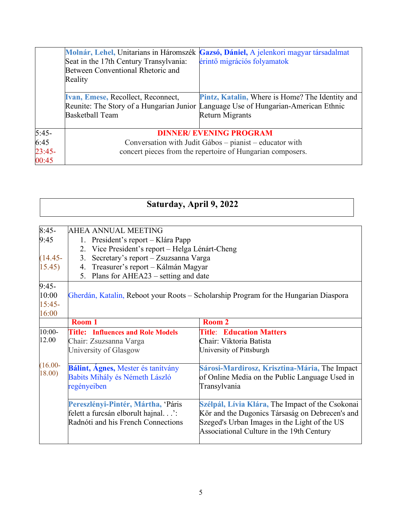|                                      | Seat in the 17th Century Transylvania:<br>Between Conventional Rhetoric and<br>Reality                                                                  | Molnár, Lehel, Unitarians in Háromszék Gazsó, Dániel, A jelenkori magyar társadalmat<br>érintő migrációs folyamatok                                                    |
|--------------------------------------|---------------------------------------------------------------------------------------------------------------------------------------------------------|------------------------------------------------------------------------------------------------------------------------------------------------------------------------|
|                                      | <b>Ivan, Emese, Recollect, Reconnect,</b><br><b>Basketball Team</b>                                                                                     | <b>Pintz, Katalin, Where is Home? The Identity and</b><br>Reunite: The Story of a Hungarian Junior Language Use of Hungarian-American Ethnic<br><b>Return Migrants</b> |
| $5:45-$<br>6:45<br>$23:45-$<br>00:45 | <b>DINNER/ EVENING PROGRAM</b><br>Conversation with Judit Gábos – pianist – educator with<br>concert pieces from the repertoire of Hungarian composers. |                                                                                                                                                                        |

## **Saturday, April 9, 2022**

| $8:45-$                                            | <b>AHEA ANNUAL MEETING</b>                                                                                     |                                                                                                                                                                                                  |
|----------------------------------------------------|----------------------------------------------------------------------------------------------------------------|--------------------------------------------------------------------------------------------------------------------------------------------------------------------------------------------------|
| 9:45                                               | President's report – Klára Papp<br>1.                                                                          |                                                                                                                                                                                                  |
| Vice President's report - Helga Lénárt-Cheng<br>2. |                                                                                                                |                                                                                                                                                                                                  |
| $(14.45 -$                                         | Secretary's report - Zsuzsanna Varga<br>3 <sub>1</sub>                                                         |                                                                                                                                                                                                  |
| 15.45)                                             | Treasurer's report - Kálmán Magyar<br>4.                                                                       |                                                                                                                                                                                                  |
| Plans for AHEA23 – setting and date<br>5.          |                                                                                                                |                                                                                                                                                                                                  |
| $9:45-$                                            |                                                                                                                |                                                                                                                                                                                                  |
| 10:00                                              |                                                                                                                | Gherdán, Katalin, Reboot your Roots – Scholarship Program for the Hungarian Diaspora                                                                                                             |
| $15:45-$                                           |                                                                                                                |                                                                                                                                                                                                  |
| 16:00                                              |                                                                                                                |                                                                                                                                                                                                  |
|                                                    | Room 1                                                                                                         | <b>Room 2</b>                                                                                                                                                                                    |
| $10:00-$                                           | <b>Title: Influences and Role Models</b>                                                                       | <b>Title: Education Matters</b>                                                                                                                                                                  |
| 12.00                                              | Chair: Zsuzsanna Varga                                                                                         | Chair: Viktoria Batista                                                                                                                                                                          |
|                                                    | University of Glasgow                                                                                          | University of Pittsburgh                                                                                                                                                                         |
| $(16.00 -$<br>18.00)                               | Bálint, Ágnes, Mester és tanítvány<br>Babits Mihály és Németh László<br>regényeiben                            | Sárosi-Mardirosz, Krisztina-Mária, The Impact<br>of Online Media on the Public Language Used in<br>Transylvania                                                                                  |
|                                                    | Pereszlényi-Pintér, Mártha, 'Páris<br>felett a furcsán elborult hajnal':<br>Radnóti and his French Connections | Szélpál, Lívia Klára, The Impact of the Csokonai<br>Kör and the Dugonics Társaság on Debrecen's and<br>Szeged's Urban Images in the Light of the US<br>Associational Culture in the 19th Century |